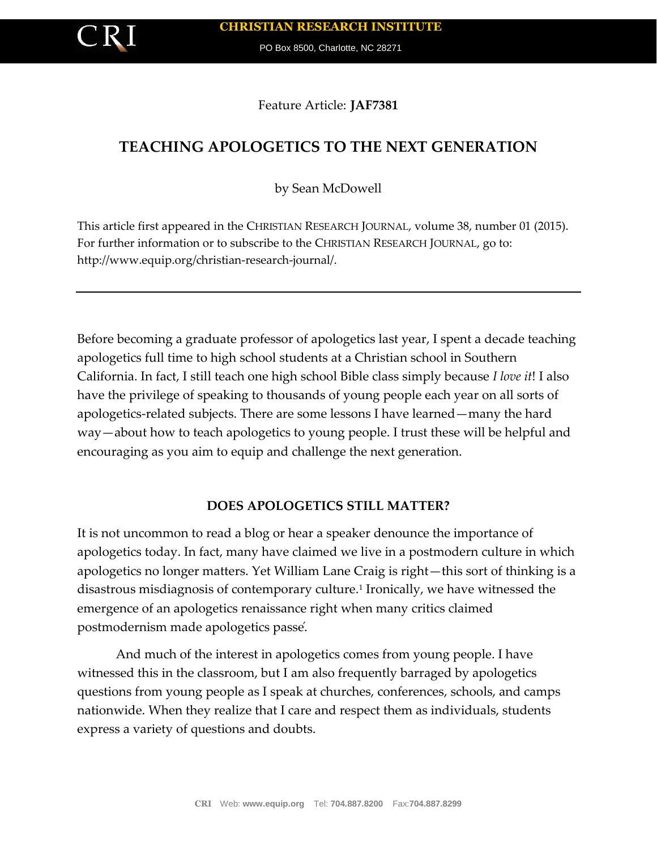

PO Box 8500, Charlotte, NC 28271

Feature Article: **JAF7381**

# **TEACHING APOLOGETICS TO THE NEXT GENERATION**

by Sean McDowell

This article first appeared in the CHRISTIAN RESEARCH JOURNAL, volume 38, number 01 (2015). For further information or to subscribe to the CHRISTIAN RESEARCH JOURNAL, go to: http://www.equip.org/christian-research-journal/.

Before becoming a graduate professor of apologetics last year, I spent a decade teaching apologetics full time to high school students at a Christian school in Southern California. In fact, I still teach one high school Bible class simply because *I love it*! I also have the privilege of speaking to thousands of young people each year on all sorts of apologetics-related subjects. There are some lessons I have learned—many the hard way—about how to teach apologetics to young people. I trust these will be helpful and encouraging as you aim to equip and challenge the next generation.

### **DOES APOLOGETICS STILL MATTER?**

It is not uncommon to read a blog or hear a speaker denounce the importance of apologetics today. In fact, many have claimed we live in a postmodern culture in which apologetics no longer matters. Yet William Lane Craig is right—this sort of thinking is a disastrous misdiagnosis of contemporary culture.<sup>1</sup> Ironically, we have witnessed the emergence of an apologetics renaissance right when many critics claimed postmodernism made apologetics passé.

And much of the interest in apologetics comes from young people. I have witnessed this in the classroom, but I am also frequently barraged by apologetics questions from young people as I speak at churches, conferences, schools, and camps nationwide. When they realize that I care and respect them as individuals, students express a variety of questions and doubts.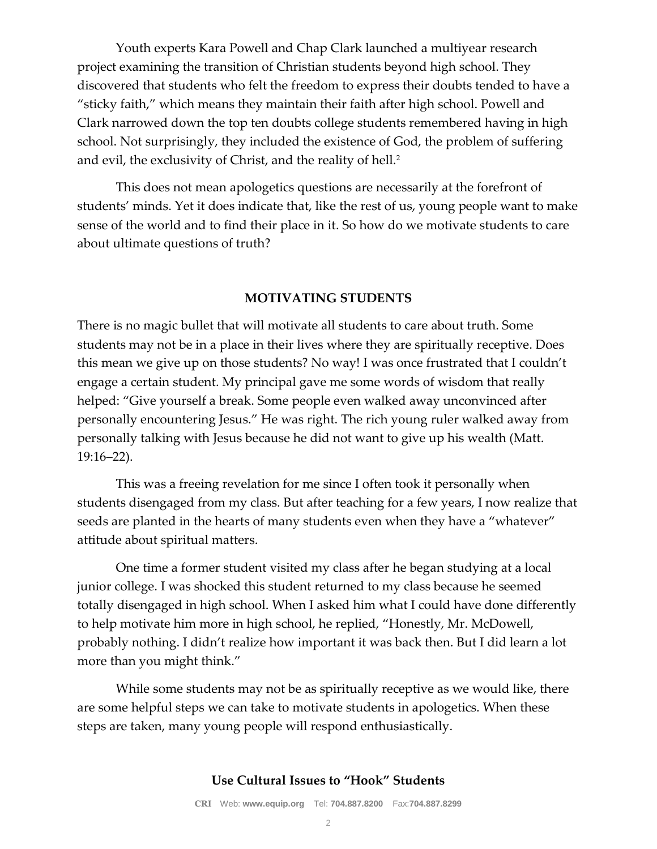Youth experts Kara Powell and Chap Clark launched a multiyear research project examining the transition of Christian students beyond high school. They discovered that students who felt the freedom to express their doubts tended to have a "sticky faith," which means they maintain their faith after high school. Powell and Clark narrowed down the top ten doubts college students remembered having in high school. Not surprisingly, they included the existence of God, the problem of suffering and evil, the exclusivity of Christ, and the reality of hell.<sup>2</sup>

This does not mean apologetics questions are necessarily at the forefront of students' minds. Yet it does indicate that, like the rest of us, young people want to make sense of the world and to find their place in it. So how do we motivate students to care about ultimate questions of truth?

#### **MOTIVATING STUDENTS**

There is no magic bullet that will motivate all students to care about truth. Some students may not be in a place in their lives where they are spiritually receptive. Does this mean we give up on those students? No way! I was once frustrated that I couldn't engage a certain student. My principal gave me some words of wisdom that really helped: "Give yourself a break. Some people even walked away unconvinced after personally encountering Jesus." He was right. The rich young ruler walked away from personally talking with Jesus because he did not want to give up his wealth (Matt. 19:16–22).

This was a freeing revelation for me since I often took it personally when students disengaged from my class. But after teaching for a few years, I now realize that seeds are planted in the hearts of many students even when they have a "whatever" attitude about spiritual matters.

One time a former student visited my class after he began studying at a local junior college. I was shocked this student returned to my class because he seemed totally disengaged in high school. When I asked him what I could have done differently to help motivate him more in high school, he replied, "Honestly, Mr. McDowell, probably nothing. I didn't realize how important it was back then. But I did learn a lot more than you might think."

While some students may not be as spiritually receptive as we would like, there are some helpful steps we can take to motivate students in apologetics. When these steps are taken, many young people will respond enthusiastically.

#### **Use Cultural Issues to "Hook" Students**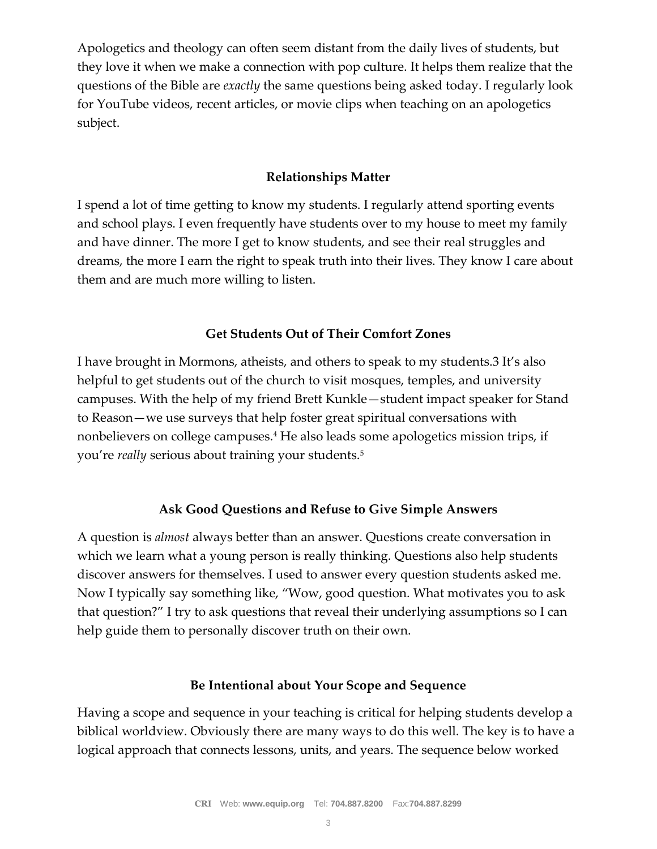Apologetics and theology can often seem distant from the daily lives of students, but they love it when we make a connection with pop culture. It helps them realize that the questions of the Bible are *exactly* the same questions being asked today. I regularly look for YouTube videos, recent articles, or movie clips when teaching on an apologetics subject.

### **Relationships Matter**

I spend a lot of time getting to know my students. I regularly attend sporting events and school plays. I even frequently have students over to my house to meet my family and have dinner. The more I get to know students, and see their real struggles and dreams, the more I earn the right to speak truth into their lives. They know I care about them and are much more willing to listen.

## **Get Students Out of Their Comfort Zones**

I have brought in Mormons, atheists, and others to speak to my students.3 It's also helpful to get students out of the church to visit mosques, temples, and university campuses. With the help of my friend Brett Kunkle—student impact speaker for Stand to Reason—we use surveys that help foster great spiritual conversations with nonbelievers on college campuses.<sup>4</sup> He also leads some apologetics mission trips, if you're *really* serious about training your students.<sup>5</sup>

## **Ask Good Questions and Refuse to Give Simple Answers**

A question is *almost* always better than an answer. Questions create conversation in which we learn what a young person is really thinking. Questions also help students discover answers for themselves. I used to answer every question students asked me. Now I typically say something like, "Wow, good question. What motivates you to ask that question?" I try to ask questions that reveal their underlying assumptions so I can help guide them to personally discover truth on their own.

### **Be Intentional about Your Scope and Sequence**

Having a scope and sequence in your teaching is critical for helping students develop a biblical worldview. Obviously there are many ways to do this well. The key is to have a logical approach that connects lessons, units, and years. The sequence below worked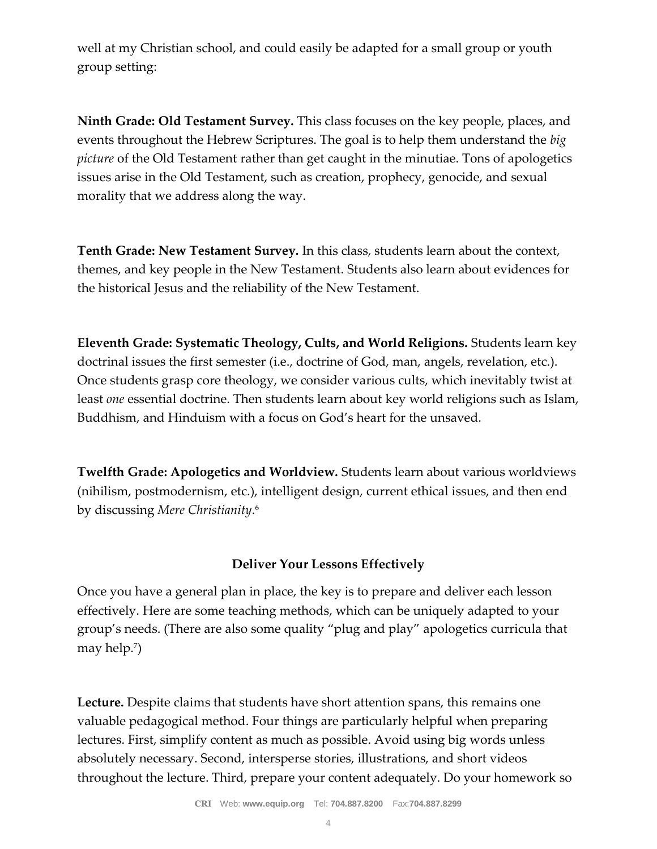well at my Christian school, and could easily be adapted for a small group or youth group setting:

**Ninth Grade: Old Testament Survey.** This class focuses on the key people, places, and events throughout the Hebrew Scriptures. The goal is to help them understand the *big picture* of the Old Testament rather than get caught in the minutiae. Tons of apologetics issues arise in the Old Testament, such as creation, prophecy, genocide, and sexual morality that we address along the way.

**Tenth Grade: New Testament Survey.** In this class, students learn about the context, themes, and key people in the New Testament. Students also learn about evidences for the historical Jesus and the reliability of the New Testament.

**Eleventh Grade: Systematic Theology, Cults, and World Religions.** Students learn key doctrinal issues the first semester (i.e., doctrine of God, man, angels, revelation, etc.). Once students grasp core theology, we consider various cults, which inevitably twist at least *one* essential doctrine. Then students learn about key world religions such as Islam, Buddhism, and Hinduism with a focus on God's heart for the unsaved.

**Twelfth Grade: Apologetics and Worldview.** Students learn about various worldviews (nihilism, postmodernism, etc.), intelligent design, current ethical issues, and then end by discussing *Mere Christianity*. 6

## **Deliver Your Lessons Effectively**

Once you have a general plan in place, the key is to prepare and deliver each lesson effectively. Here are some teaching methods, which can be uniquely adapted to your group's needs. (There are also some quality "plug and play" apologetics curricula that may help.<sup>7</sup> )

**Lecture.** Despite claims that students have short attention spans, this remains one valuable pedagogical method. Four things are particularly helpful when preparing lectures. First, simplify content as much as possible. Avoid using big words unless absolutely necessary. Second, intersperse stories, illustrations, and short videos throughout the lecture. Third, prepare your content adequately. Do your homework so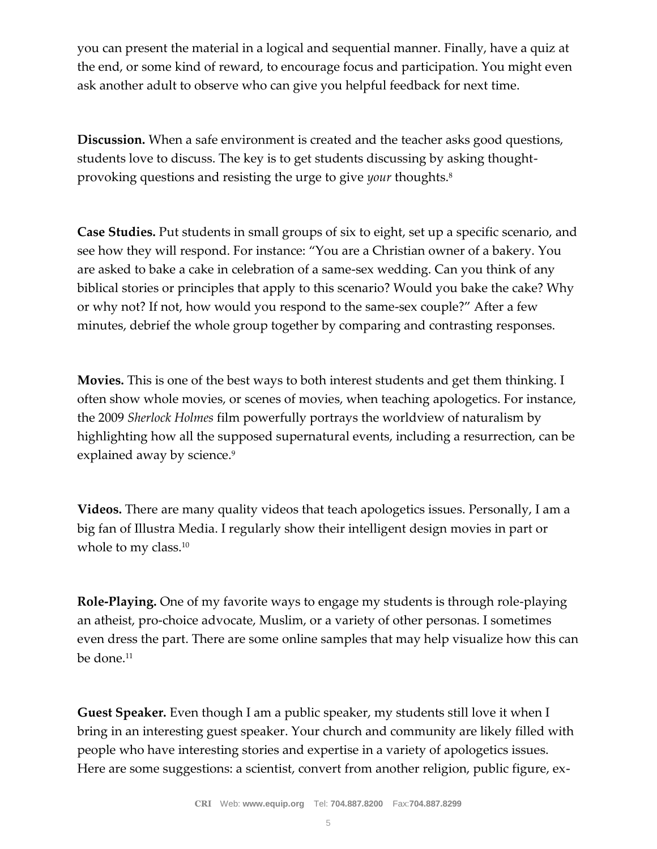you can present the material in a logical and sequential manner. Finally, have a quiz at the end, or some kind of reward, to encourage focus and participation. You might even ask another adult to observe who can give you helpful feedback for next time.

**Discussion.** When a safe environment is created and the teacher asks good questions, students love to discuss. The key is to get students discussing by asking thoughtprovoking questions and resisting the urge to give *your* thoughts.<sup>8</sup>

**Case Studies.** Put students in small groups of six to eight, set up a specific scenario, and see how they will respond. For instance: "You are a Christian owner of a bakery. You are asked to bake a cake in celebration of a same-sex wedding. Can you think of any biblical stories or principles that apply to this scenario? Would you bake the cake? Why or why not? If not, how would you respond to the same-sex couple?" After a few minutes, debrief the whole group together by comparing and contrasting responses.

**Movies.** This is one of the best ways to both interest students and get them thinking. I often show whole movies, or scenes of movies, when teaching apologetics. For instance, the 2009 *Sherlock Holmes* film powerfully portrays the worldview of naturalism by highlighting how all the supposed supernatural events, including a resurrection, can be explained away by science.<sup>9</sup>

**Videos.** There are many quality videos that teach apologetics issues. Personally, I am a big fan of Illustra Media. I regularly show their intelligent design movies in part or whole to my class.<sup>10</sup>

**Role-Playing.** One of my favorite ways to engage my students is through role-playing an atheist, pro-choice advocate, Muslim, or a variety of other personas. I sometimes even dress the part. There are some online samples that may help visualize how this can be done.<sup>11</sup>

**Guest Speaker.** Even though I am a public speaker, my students still love it when I bring in an interesting guest speaker. Your church and community are likely filled with people who have interesting stories and expertise in a variety of apologetics issues. Here are some suggestions: a scientist, convert from another religion, public figure, ex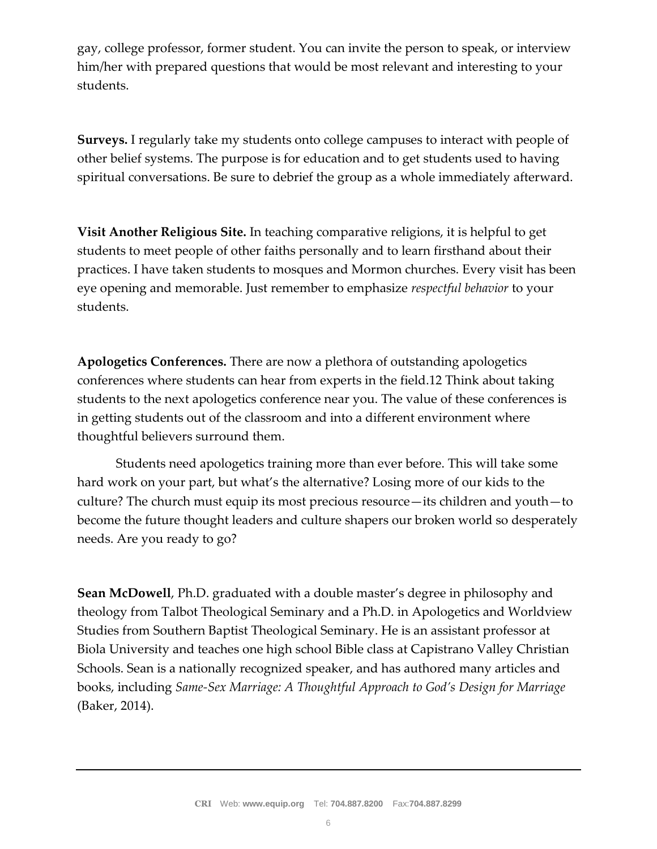gay, college professor, former student. You can invite the person to speak, or interview him/her with prepared questions that would be most relevant and interesting to your students.

**Surveys.** I regularly take my students onto college campuses to interact with people of other belief systems. The purpose is for education and to get students used to having spiritual conversations. Be sure to debrief the group as a whole immediately afterward.

**Visit Another Religious Site.** In teaching comparative religions, it is helpful to get students to meet people of other faiths personally and to learn firsthand about their practices. I have taken students to mosques and Mormon churches. Every visit has been eye opening and memorable. Just remember to emphasize *respectful behavior* to your students.

**Apologetics Conferences.** There are now a plethora of outstanding apologetics conferences where students can hear from experts in the field.12 Think about taking students to the next apologetics conference near you. The value of these conferences is in getting students out of the classroom and into a different environment where thoughtful believers surround them.

Students need apologetics training more than ever before. This will take some hard work on your part, but what's the alternative? Losing more of our kids to the culture? The church must equip its most precious resource—its children and youth—to become the future thought leaders and culture shapers our broken world so desperately needs. Are you ready to go?

**Sean McDowell**, Ph.D. graduated with a double master's degree in philosophy and theology from Talbot Theological Seminary and a Ph.D. in Apologetics and Worldview Studies from Southern Baptist Theological Seminary. He is an assistant professor at Biola University and teaches one high school Bible class at Capistrano Valley Christian Schools. Sean is a nationally recognized speaker, and has authored many articles and books, including *Same-Sex Marriage: A Thoughtful Approach to God's Design for Marriage* (Baker, 2014).